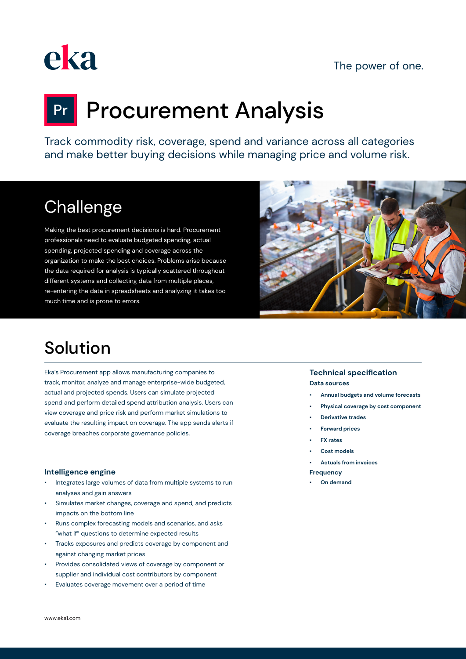### The power of one.



# **Pr** Procurement Analysis

Track commodity risk, coverage, spend and variance across all categories and make better buying decisions while managing price and volume risk.

# **Challenge**

Making the best procurement decisions is hard. Procurement professionals need to evaluate budgeted spending, actual spending, projected spending and coverage across the organization to make the best choices. Problems arise because the data required for analysis is typically scattered throughout different systems and collecting data from multiple places, re-entering the data in spreadsheets and analyzing it takes too much time and is prone to errors.



## Solution

Eka's Procurement app allows manufacturing companies to track, monitor, analyze and manage enterprise-wide budgeted, actual and projected spends. Users can simulate projected spend and perform detailed spend attribution analysis. Users can view coverage and price risk and perform market simulations to evaluate the resulting impact on coverage. The app sends alerts if coverage breaches corporate governance policies.

#### **Intelligence engine**

- Integrates large volumes of data from multiple systems to run analyses and gain answers
- Simulates market changes, coverage and spend, and predicts impacts on the bottom line
- Runs complex forecasting models and scenarios, and asks "what if" questions to determine expected results
- Tracks exposures and predicts coverage by component and against changing market prices
- Provides consolidated views of coverage by component or supplier and individual cost contributors by component
- Evaluates coverage movement over a period of time

#### **Technical specification Data sources**

- **Annual budgets and volume forecasts**
- **Physical coverage by cost component**
- **Derivative trades**
- **Forward prices**
- **FX rates**
- Cost models
- **Actuals from invoices**
- **Frequency**
- **On demand**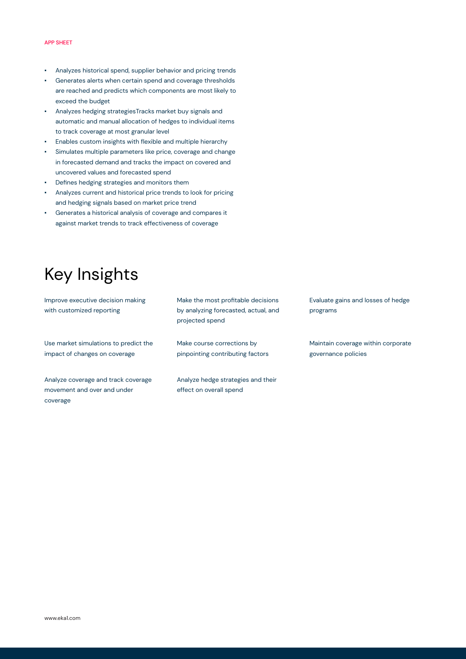#### APP SHEET

- Analyzes historical spend, supplier behavior and pricing trends
- Generates alerts when certain spend and coverage thresholds are reached and predicts which components are most likely to exceed the budget
- Analyzes hedging strategiesTracks market buy signals and automatic and manual allocation of hedges to individual items to track coverage at most granular level
- Enables custom insights with flexible and multiple hierarchy
- Simulates multiple parameters like price, coverage and change in forecasted demand and tracks the impact on covered and uncovered values and forecasted spend
- Defines hedging strategies and monitors them
- Analyzes current and historical price trends to look for pricing and hedging signals based on market price trend
- Generates a historical analysis of coverage and compares it against market trends to track effectiveness of coverage

# Key Insights

Improve executive decision making with customized reporting Use market simulations to predict the

Analyze coverage and track coverage movement and over and under

impact of changes on coverage

coverage

Make the most profitable decisions by analyzing forecasted, actual, and projected spend

Make course corrections by pinpointing contributing factors

Analyze hedge strategies and their effect on overall spend

Evaluate gains and losses of hedge programs

Maintain coverage within corporate governance policies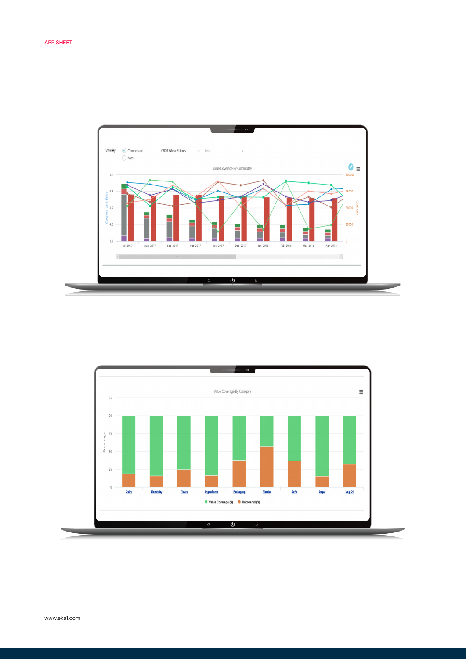